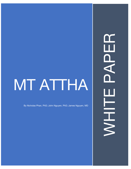# MT ATTHA

By Nicholas Phan, PhD; John Nguyen, PhD; James Nguyen, MD

H<br>Q<br>Q NHIT<br>S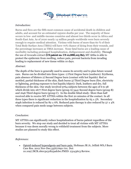

# *Introduction:*

Burns and fires are the fifth most common cause of accidental death in children and adults, and account for an estimated 195000 deaths per year. The majority of these occure in low- and middle-income countries and almost two thirds occur in Africa and South-East Asia. As of 2020 nearly 14 million people worldwide were burn severely enough to require medical attention. Victims with burns of more than 60 % of their Total Body Surface Area (TBSA) will have 70% chance of dying from their wounds, and the percentage increases as TBSA increase. None fatal burns are a leading cause of morbidity including prolonged hospitalization, disfigurement and disability. Through the use of Avocado extract **(USpatent no. US10,888,105 B2),** MT Attha is able to protect the epidermic from swelling, reduce pain, prevent bacteria from invading leading to replacement of new tissue within 10 days.

## *Abstract:*

The depth of the burn is generally used to assess its severity and to plan future wound care. Burns can be divided into three types: 1) First Degree burn (sunburn): Erythema, pain absence of blisters 2) Second Degree burn (contact with hot liquids): Red or mottled, partial thickness of the skin, flash burns 3) Third Degree burn (fire, electricity or lightning, prolong exposure to hot liquids/object): Dark, leathery and dry, full thickness of the skin. Our study involved 9764 subjects between the ages of 6 to 58 which divide into 2677 First degree burn (group A) 5441 Second degree burn (group B) and 1646 Third degree burn (group C). In the double blind study- More than half received able to receive MT ATTHA within the first 20 minutes of the contact. In all three types there is significant reduction in the hospitalization by  $65 \pm 5\%$ . Secondary staph infection is reduced by  $82 \pm 6\%$ . Reduced pain therapy is also reduced by  $57 \pm 4\%$ when compared pain meds usage between subjects.

## *Conclusion:*

MT ATTHA can significantly reduce hospitalization of burns patient regardless of the burn severity. We stop our study and decided to treat all victims with MT ATTHA because it was deem morally wrong to withheld treatment from the subjects.More studies are planned to study this effect.

## *References:*

• [Opioid-induced](https://pubmed.ncbi.nlm.nih.gov/23143613/) hyperalgesia and burn pain. Holtman JR Jr, Jellish WS.J Burn Care Res. 2012 Nov-Dec;33(6):692-701. Doi: 10.1097/BCR.0b013e31825adcb0.PMID: 23143613 Review.